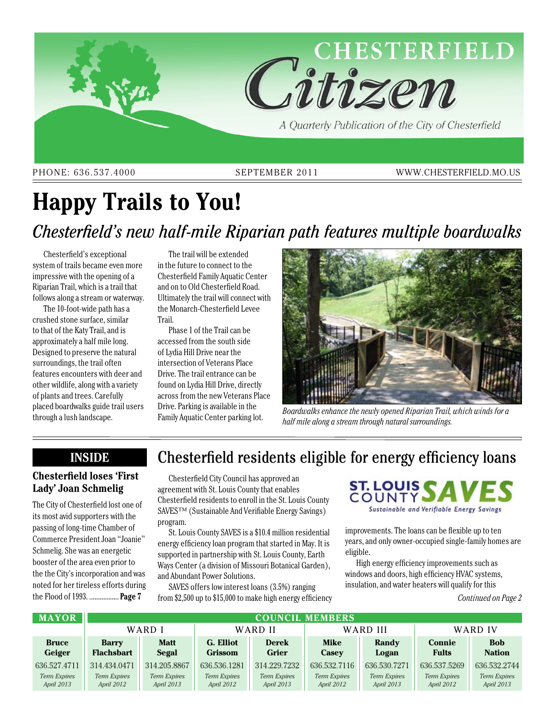

PHONE: 636.537.4000 SEPTEMBER 2011 WWW.CHESTERFIELD.MO.US

# **Happy Trails to You!** *Chesterfield's new half-mile Riparian path features multiple boardwalks*

Chesterfield's exceptional system of trails became even more impressive with the opening of a Riparian Trail, which is a trail that follows along a stream or waterway.

The 10-foot-wide path has a crushed stone surface, similar to that of the Katy Trail, and is approximately a half mile long. Designed to preserve the natural surroundings, the trail often features encounters with deer and other wildlife, along with a variety of plants and trees. Carefully placed boardwalks guide trail users through a lush landscape.

The trail will be extended in the future to connect to the Chesterfield Family Aquatic Center and on to Old Chesterfield Road. Ultimately the trail will connect with the Monarch-Chesterfield Levee Trail.

Phase 1 of the Trail can be accessed from the south side of Lydia Hill Drive near the intersection of Veterans Place Drive. The trail entrance can be found on Lydia Hill Drive, directly across from the new Veterans Place Drive. Parking is available in the Family Aquatic Center parking lot.



*Boardwalks enhance the newly opened Riparian Trail, which winds for a half mile along a stream through natural surroundings.*

### **Inside**

### **Chesterfield loses 'First Lady' Joan Schmelig**

The City of Chesterfield lost one of its most avid supporters with the passing of long-time Chamber of Commerce President Joan "Joanie" Schmelig. She was an energetic booster of the area even prior to the the City's incorporation and was noted for her tireless efforts during the Flood of 1993. ................. **Page 7**

# Chesterfield residents eligible for energy efficiency loans

Chesterfield City Council has approved an agreement with St. Louis County that enables Chesterfield residents to enroll in the St. Louis County SAVES<sup>™</sup> (Sustainable And Verifiable Energy Savings) program.

St. Louis County SAVES is a \$10.4 million residential energy efficiency loan program that started in May. It is supported in partnership with St. Louis County, Earth Ways Center (a division of Missouri Botanical Garden), and Abundant Power Solutions.

SAVES offers low interest loans (3.5%) ranging from \$2,500 up to \$15,000 to make high energy efficiency



improvements. The loans can be flexible up to ten years, and only owner-occupied single-family homes are eligible.

High energy efficiency improvements such as windows and doors, high efficiency HVAC systems, insulation, and water heaters will qualify for this

*Continued on Page 2*

| <b>MAYOR</b>                      | <b>COUNCIL MEMBERS</b>            |                                   |                             |                                   |                                   |                                   |                                   |                                   |
|-----------------------------------|-----------------------------------|-----------------------------------|-----------------------------|-----------------------------------|-----------------------------------|-----------------------------------|-----------------------------------|-----------------------------------|
|                                   | WARD I                            |                                   | WARD II                     |                                   | WARD III                          |                                   | WARD IV                           |                                   |
| <b>Bruce</b><br>Geiger            | <b>Barry</b><br><b>Flachsbart</b> | <b>Matt</b><br>Segal              | G. Elliot<br><b>Grissom</b> | <b>Derek</b><br><b>Grier</b>      | <b>Mike</b><br>Casey              | Randy<br>Logan                    | <b>Connie</b><br><b>Fults</b>     | <b>Bob</b><br><b>Nation</b>       |
| 636.527.4711                      | 314.434.0471                      | 314.205.8867                      | 636.536.1281                | 314.229.7232                      | 636, 532, 7116                    | 636.530.7271                      | 636.537.5269                      | 636.532.2744                      |
| <b>Term Expires</b><br>April 2013 | <b>Term Expires</b><br>April 2012 | <b>Term Expires</b><br>April 2013 | Term Expires<br>April 2012  | <b>Term Expires</b><br>April 2013 | <b>Term Expires</b><br>April 2012 | <b>Term Expires</b><br>April 2013 | <b>Term Expires</b><br>April 2012 | <b>Term Expires</b><br>April 2013 |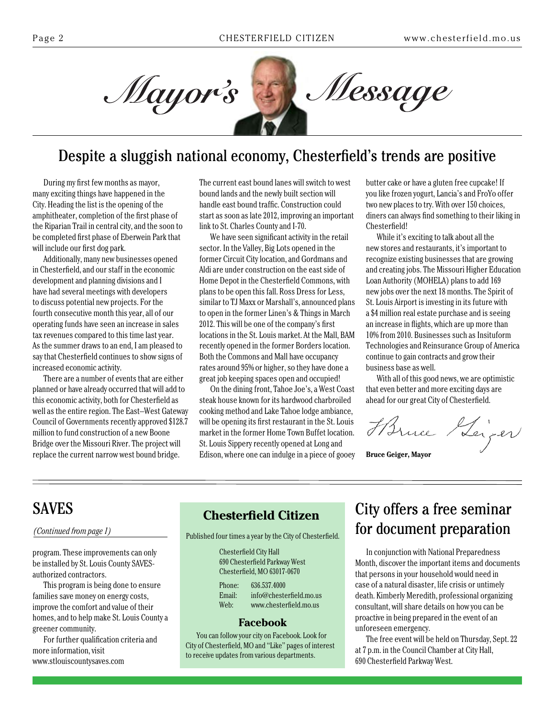Mayor's



# Despite a sluggish national economy, Chesterfield's trends are positive

During my first few months as mayor, many exciting things have happened in the City. Heading the list is the opening of the amphitheater, completion of the first phase of the Riparian Trail in central city, and the soon to be completed first phase of Eberwein Park that will include our first dog park.

Additionally, many new businesses opened in Chesterfield, and our staff in the economic development and planning divisions and I have had several meetings with developers to discuss potential new projects. For the fourth consecutive month this year, all of our operating funds have seen an increase in sales tax revenues compared to this time last year. As the summer draws to an end, I am pleased to say that Chesterfield continues to show signs of increased economic activity.

There are a number of events that are either planned or have already occurred that will add to this economic activity, both for Chesterfield as well as the entire region. The East–West Gateway Council of Governments recently approved \$128.7 million to fund construction of a new Boone Bridge over the Missouri River. The project will replace the current narrow west bound bridge.

The current east bound lanes will switch to west bound lands and the newly built section will handle east bound traffic. Construction could start as soon as late 2012, improving an important link to St. Charles County and I-70.

We have seen significant activity in the retail sector. In the Valley, Big Lots opened in the former Circuit City location, and Gordmans and Aldi are under construction on the east side of Home Depot in the Chesterfield Commons, with plans to be open this fall. Ross Dress for Less, similar to TJ Maxx or Marshall's, announced plans to open in the former Linen's & Things in March 2012. This will be one of the company's first locations in the St. Louis market. At the Mall, BAM recently opened in the former Borders location. Both the Commons and Mall have occupancy rates around 95% or higher, so they have done a great job keeping spaces open and occupied!

On the dining front, Tahoe Joe's, a West Coast steak house known for its hardwood charbroiled cooking method and Lake Tahoe lodge ambiance, will be opening its first restaurant in the St. Louis market in the former Home Town Buffet location. St. Louis Sippery recently opened at Long and Edison, where one can indulge in a piece of gooey butter cake or have a gluten free cupcake! If you like frozen yogurt, Lancia's and FroYo offer two new places to try. With over 150 choices, diners can always find something to their liking in Chesterfield!

While it's exciting to talk about all the new stores and restaurants, it's important to recognize existing businesses that are growing and creating jobs. The Missouri Higher Education Loan Authority (MOHELA) plans to add 169 new jobs over the next 18 months. The Spirit of St. Louis Airport is investing in its future with a \$4 million real estate purchase and is seeing an increase in flights, which are up more than 10% from 2010. Businesses such as Insituform Technologies and Reinsurance Group of America continue to gain contracts and grow their business base as well.

With all of this good news, we are optimistic that even better and more exciting days are ahead for our great City of Chesterfield.

Harne Heiger

**Bruce Geiger, Mayor**

# SAVES

program. These improvements can only be installed by St. Louis County SAVESauthorized contractors.

This program is being done to ensure families save money on energy costs, improve the comfort and value of their homes, and to help make St. Louis County a greener community.

For further qualification criteria and more information, visit www.stlouiscountysaves.com

### **Chesterfield Citizen**

*(Continued from page 1)* Published four times a year by the City of Chesterfield.

| <b>Chesterfield City Hall</b> |                         |  |  |  |
|-------------------------------|-------------------------|--|--|--|
| 690 Chesterfield Parkway West |                         |  |  |  |
| Chesterfield, MO 63017-0670   |                         |  |  |  |
| Phone:                        | 636.537.4000            |  |  |  |
| Email:                        | info@chesterfield.mo.us |  |  |  |
| Web:                          | www.chesterfield.mo.us  |  |  |  |

#### **Facebook**

You can follow your city on Facebook. Look for City of Chesterfield, MO and "Like" pages of interest to receive updates from various departments.

# City offers a free seminar for document preparation

In conjunction with National Preparedness Month, discover the important items and documents that persons in your household would need in case of a natural disaster, life crisis or untimely death. Kimberly Meredith, professional organizing consultant, will share details on how you can be proactive in being prepared in the event of an unforeseen emergency.

The free event will be held on Thursday, Sept. 22 at 7 p.m. in the Council Chamber at City Hall, 690 Chesterfield Parkway West.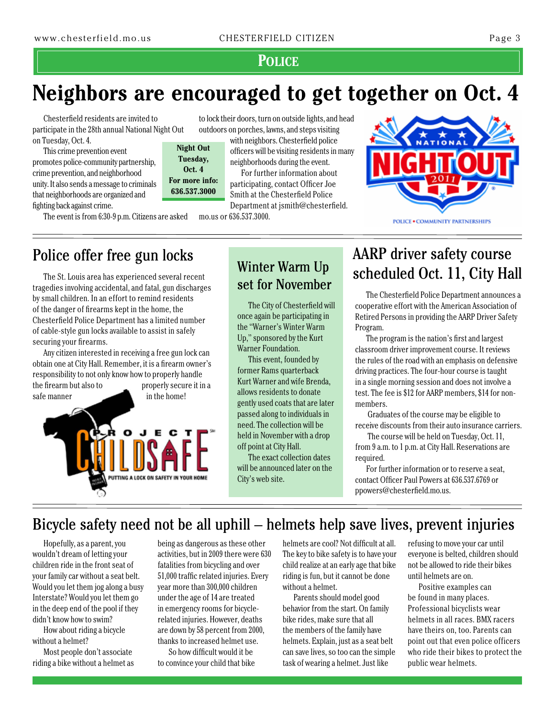### **Police**

# **Neighbors are encouraged to get together on Oct. 4**

Chesterfield residents are invited to participate in the 28th annual National Night Out on Tuesday, Oct. 4. **Night Out**

This crime prevention event promotes police-community partnership, crime prevention, and neighborhood unity. It also sends a message to criminals that neighborhoods are organized and fighting back against crime.

The event is from 6:30-9 p.m. Citizens are asked

**Tuesday, Oct. 4 For more info: 636.537.3000**

to lock their doors, turn on outside lights, and head outdoors on porches, lawns, and steps visiting

with neighbors. Chesterfield police officers will be visiting residents in many neighborhoods during the event.

For further information about participating, contact Officer Joe Smith at the Chesterfield Police Department at jsmith@chesterfield.

mo.us or 636.537.3000.



# Police offer free gun locks

The St. Louis area has experienced several recent tragedies involving accidental, and fatal, gun discharges by small children. In an effort to remind residents of the danger of firearms kept in the home, the Chesterfield Police Department has a limited number of cable-style gun locks available to assist in safely securing your firearms.

Any citizen interested in receiving a free gun lock can obtain one at City Hall. Remember, it is a firearm owner's responsibility to not only know how to properly handle the firearm but also to properly secure it in a safe manner in the home!



# Winter Warm Up set for November

The City of Chesterfield will once again be participating in the "Warner's Winter Warm Up," sponsored by the Kurt Warner Foundation.

This event, founded by former Rams quarterback Kurt Warner and wife Brenda, allows residents to donate gently used coats that are later passed along to individuals in need. The collection will be held in November with a drop off point at City Hall.

The exact collection dates will be announced later on the City's web site.

# AARP driver safety course scheduled Oct. 11, City Hall

The Chesterfield Police Department announces a cooperative effort with the American Association of Retired Persons in providing the AARP Driver Safety Program.

The program is the nation's first and largest classroom driver improvement course. It reviews the rules of the road with an emphasis on defensive driving practices. The four-hour course is taught in a single morning session and does not involve a test. The fee is \$12 for AARP members, \$14 for nonmembers.

 Graduates of the course may be eligible to receive discounts from their auto insurance carriers.

 The course will be held on Tuesday, Oct. 11, from 9 a.m. to 1 p.m. at City Hall. Reservations are required.

For further information or to reserve a seat, contact Officer Paul Powers at 636.537.6769 or ppowers@chesterfield.mo.us.

# Bicycle safety need not be all uphill – helmets help save lives, prevent injuries

Hopefully, as a parent, you wouldn't dream of letting your children ride in the front seat of your family car without a seat belt. Would you let them jog along a busy Interstate? Would you let them go in the deep end of the pool if they didn't know how to swim?

How about riding a bicycle without a helmet?

Most people don't associate riding a bike without a helmet as being as dangerous as these other activities, but in 2009 there were 630 fatalities from bicycling and over 51,000 traffic related injuries. Every year more than 300,000 children under the age of 14 are treated in emergency rooms for bicyclerelated injuries. However, deaths are down by 58 percent from 2000, thanks to increased helmet use.

So how difficult would it be to convince your child that bike

helmets are cool? Not difficult at all. The key to bike safety is to have your child realize at an early age that bike riding is fun, but it cannot be done without a helmet.

Parents should model good behavior from the start. On family bike rides, make sure that all the members of the family have helmets. Explain, just as a seat belt can save lives, so too can the simple task of wearing a helmet. Just like

refusing to move your car until everyone is belted, children should not be allowed to ride their bikes until helmets are on.

Positive examples can be found in many places. Professional bicyclists wear helmets in all races. BMX racers have theirs on, too. Parents can point out that even police officers who ride their bikes to protect the public wear helmets.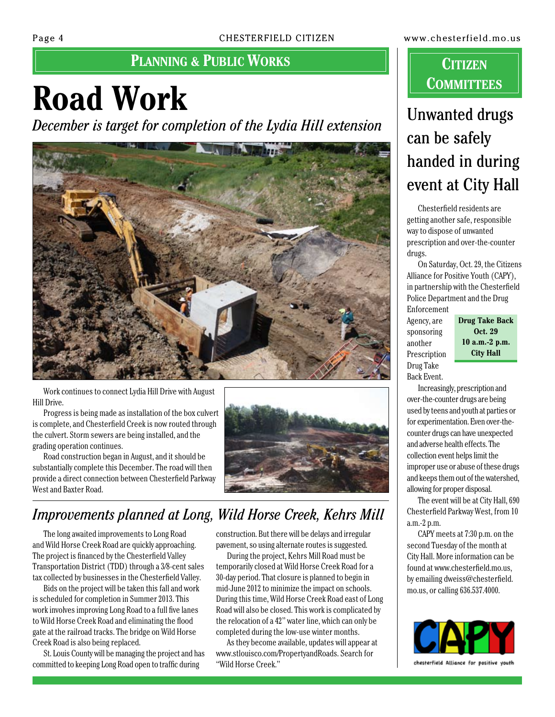# **PLANNING & PUBLIC WORKS CONSIDERING**

# **Road Work**

*December is target for completion of the Lydia Hill extension*



Work continues to connect Lydia Hill Drive with August Hill Drive.

Progress is being made as installation of the box culvert is complete, and Chesterfield Creek is now routed through the culvert. Storm sewers are being installed, and the grading operation continues.

Road construction began in August, and it should be substantially complete this December. The road will then provide a direct connection between Chesterfield Parkway West and Baxter Road.



# *Improvements planned at Long, Wild Horse Creek, Kehrs Mill*

The long awaited improvements to Long Road and Wild Horse Creek Road are quickly approaching. The project is financed by the Chesterfield Valley Transportation District (TDD) through a 3/8-cent sales tax collected by businesses in the Chesterfield Valley.

Bids on the project will be taken this fall and work is scheduled for completion in Summer 2013. This work involves improving Long Road to a full five lanes to Wild Horse Creek Road and eliminating the flood gate at the railroad tracks. The bridge on Wild Horse Creek Road is also being replaced.

St. Louis County will be managing the project and has committed to keeping Long Road open to traffic during

construction. But there will be delays and irregular pavement, so using alternate routes is suggested.

During the project, Kehrs Mill Road must be temporarily closed at Wild Horse Creek Road for a 30-day period. That closure is planned to begin in mid-June 2012 to minimize the impact on schools. During this time, Wild Horse Creek Road east of Long Road will also be closed. This work is complicated by the relocation of a 42" water line, which can only be completed during the low-use winter months.

As they become available, updates will appear at www.stlouisco.com/PropertyandRoads. Search for "Wild Horse Creek."

# **Committees**

# Unwanted drugs can be safely handed in during event at City Hall

Chesterfield residents are getting another safe, responsible way to dispose of unwanted prescription and over-the-counter drugs.

On Saturday, Oct. 29, the Citizens Alliance for Positive Youth (CAPY), in partnership with the Chesterfield Police Department and the Drug Enforcement

Agency, are sponsoring another Prescription Drug Take Back Event.

**Drug Take Back Oct. 29 10 a.m.-2 p.m. City Hall**

Increasingly, prescription and over-the-counter drugs are being used by teens and youth at parties or for experimentation. Even over-thecounter drugs can have unexpected and adverse health effects. The collection event helps limit the improper use or abuse of these drugs and keeps them out of the watershed, allowing for proper disposal.

The event will be at City Hall, 690 Chesterfield Parkway West, from 10 a.m.-2 p.m.

CAPY meets at 7:30 p.m. on the second Tuesday of the month at City Hall. More information can be found at www.chesterfield.mo.us, by emailing dweiss@chesterfield. mo.us, or calling 636.537.4000.

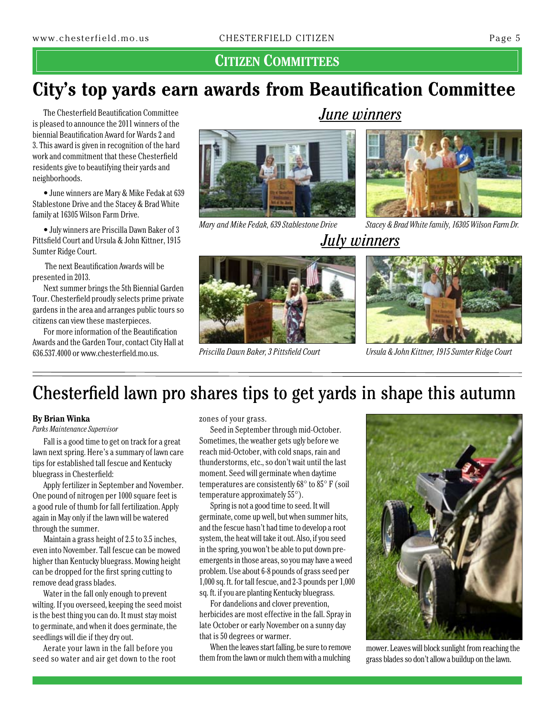### **Citizen Committees**

# **City's top yards earn awards from Beautification Committee**

The Chesterfield Beautification Committee is pleased to announce the 2011 winners of the biennial Beautification Award for Wards 2 and 3. This award is given in recognition of the hard work and commitment that these Chesterfield residents give to beautifying their yards and neighborhoods.

• June winners are Mary & Mike Fedak at 639 Stablestone Drive and the Stacey & Brad White family at 16305 Wilson Farm Drive.

• July winners are Priscilla Dawn Baker of 3 Pittsfield Court and Ursula & John Kittner, 1915 Sumter Ridge Court.

 The next Beautification Awards will be presented in 2013.

Next summer brings the 5th Biennial Garden Tour. Chesterfield proudly selects prime private gardens in the area and arranges public tours so citizens can view these masterpieces.

For more information of the Beautification Awards and the Garden Tour, contact City Hall at 636.537.4000 or www.chesterfield.mo.us.



*Mary and Mike Fedak, 639 Stablestone Drive*

## *June winners*



*Stacey & Brad White family, 16305 Wilson Farm Dr.*

## *July winners*



*Ursula & John Kittner, 1915 Sumter Ridge Court*

# Chesterfield lawn pro shares tips to get yards in shape this autumn

*Priscilla Dawn Baker, 3 Pittsfield Court*

#### **By Brian Winka**

*Parks Maintenance Supervisor*

Fall is a good time to get on track for a great lawn next spring. Here's a summary of lawn care tips for established tall fescue and Kentucky bluegrass in Chesterfield:

Apply fertilizer in September and November. One pound of nitrogen per 1000 square feet is a good rule of thumb for fall fertilization. Apply again in May only if the lawn will be watered through the summer.

Maintain a grass height of 2.5 to 3.5 inches, even into November. Tall fescue can be mowed higher than Kentucky bluegrass. Mowing height can be dropped for the first spring cutting to remove dead grass blades.

Water in the fall only enough to prevent wilting. If you overseed, keeping the seed moist is the best thing you can do. It must stay moist to germinate, and when it does germinate, the seedlings will die if they dry out.

Aerate your lawn in the fall before you seed so water and air get down to the root zones of your grass.

Seed in September through mid-October. Sometimes, the weather gets ugly before we reach mid-October, with cold snaps, rain and thunderstorms, etc., so don't wait until the last moment. Seed will germinate when daytime temperatures are consistently 68° to 85° F (soil temperature approximately 55°).

Spring is not a good time to seed. It will germinate, come up well, but when summer hits, and the fescue hasn't had time to develop a root system, the heat will take it out. Also, if you seed in the spring, you won't be able to put down preemergents in those areas, so you may have a weed problem. Use about 6-8 pounds of grass seed per 1,000 sq. ft. for tall fescue, and 2-3 pounds per 1,000 sq. ft. if you are planting Kentucky bluegrass.

For dandelions and clover prevention, herbicides are most effective in the fall. Spray in late October or early November on a sunny day that is 50 degrees or warmer.

When the leaves start falling, be sure to remove them from the lawn or mulch them with a mulching



mower. Leaves will block sunlight from reaching the grass blades so don't allow a buildup on the lawn.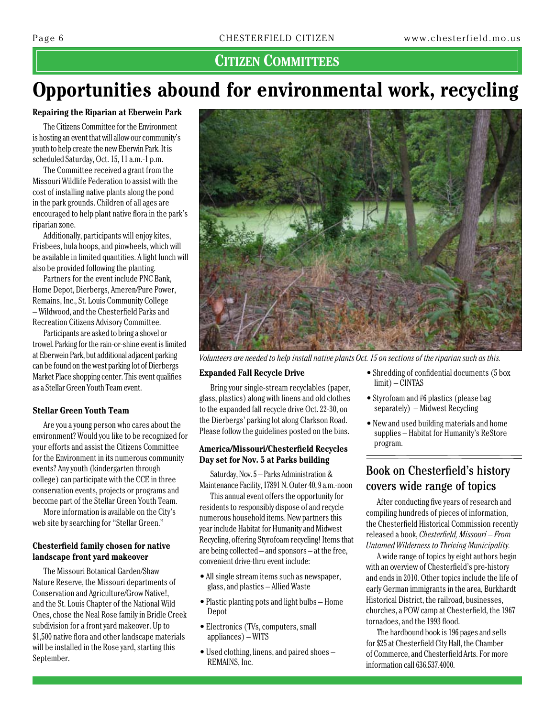## **Citizen Committees**

# **Opportunities abound for environmental work, recycling**

#### **Repairing the Riparian at Eberwein Park**

The Citizens Committee for the Environment is hosting an event that will allow our community's youth to help create the new Eberwin Park. It is scheduled Saturday, Oct. 15, 11 a.m.-1 p.m.

The Committee received a grant from the Missouri Wildlife Federation to assist with the cost of installing native plants along the pond in the park grounds. Children of all ages are encouraged to help plant native flora in the park's riparian zone.

Additionally, participants will enjoy kites, Frisbees, hula hoops, and pinwheels, which will be available in limited quantities. A light lunch will also be provided following the planting.

Partners for the event include PNC Bank, Home Depot, Dierbergs, Ameren/Pure Power, Remains, Inc., St. Louis Community College – Wildwood, and the Chesterfield Parks and Recreation Citizens Advisory Committee.

Participants are asked to bring a shovel or trowel. Parking for the rain-or-shine event is limited at Eberwein Park, but additional adjacent parking can be found on the west parking lot of Dierbergs Market Place shopping center. This event qualifies as a Stellar Green Youth Team event.

#### **Stellar Green Youth Team**

Are you a young person who cares about the environment? Would you like to be recognized for your efforts and assist the Citizens Committee for the Environment in its numerous community events? Any youth (kindergarten through college) can participate with the CCE in three conservation events, projects or programs and become part of the Stellar Green Youth Team.

More information is available on the City's web site by searching for "Stellar Green."

#### **Chesterfield family chosen for native landscape front yard makeover**

The Missouri Botanical Garden/Shaw Nature Reserve, the Missouri departments of Conservation and Agriculture/Grow Native!, and the St. Louis Chapter of the National Wild Ones, chose the Neal Rose family in Bridle Creek subdivision for a front yard makeover. Up to \$1,500 native flora and other landscape materials will be installed in the Rose yard, starting this September.



*Volunteers are needed to help install native plants Oct. 15 on sections of the riparian such as this.*

#### **Expanded Fall Recycle Drive**

Bring your single-stream recyclables (paper, glass, plastics) along with linens and old clothes to the expanded fall recycle drive Oct. 22-30, on the Dierbergs' parking lot along Clarkson Road. Please follow the guidelines posted on the bins.

#### **America/Missouri/Chesterfield Recycles Day set for Nov. 5 at Parks building**

Saturday, Nov. 5 – Parks Administration & Maintenance Facility, 17891 N. Outer 40, 9 a.m.-noon

This annual event offers the opportunity for residents to responsibly dispose of and recycle numerous household items. New partners this year include Habitat for Humanity and Midwest Recycling, offering Styrofoam recycling! Items that are being collected – and sponsors – at the free, convenient drive-thru event include:

- All single stream items such as newspaper, glass, and plastics – Allied Waste
- Plastic planting pots and light bulbs Home Depot
- Electronics (TVs, computers, small appliances) – WITS
- Used clothing, linens, and paired shoes REMAINS, Inc.
- Shredding of confidential documents (5 box limit) – CINTAS
- Styrofoam and #6 plastics (please bag separately) – Midwest Recycling
- New and used building materials and home supplies – Habitat for Humanity's ReStore program.

### Book on Chesterfield's history covers wide range of topics

After conducting five years of research and compiling hundreds of pieces of information, the Chesterfield Historical Commission recently released a book, *Chesterfield, Missouri – From Untamed Wilderness to Thriving Municipality.*

A wide range of topics by eight authors begin with an overview of Chesterfield's pre-history and ends in 2010. Other topics include the life of early German immigrants in the area, Burkhardt Historical District, the railroad, businesses, churches, a POW camp at Chesterfield, the 1967 tornadoes, and the 1993 flood.

The hardbound book is 196 pages and sells for \$25 at Chesterfield City Hall, the Chamber of Commerce, and Chesterfield Arts. For more information call 636.537.4000.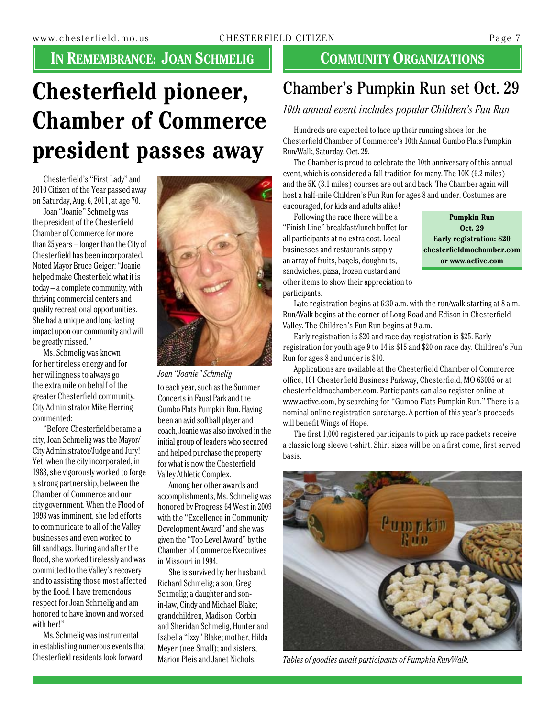# **IN REMEMBRANCE: JOAN SCHMELIG | COMMUNITY ORGANIZATIONS**

# **Chesterfield pioneer, Chamber of Commerce president passes away**

Chesterfield's "First Lady" and 2010 Citizen of the Year passed away on Saturday, Aug. 6, 2011, at age 70.

Joan "Joanie" Schmelig was the president of the Chesterfield Chamber of Commerce for more than 25 years – longer than the City of Chesterfield has been incorporated. Noted Mayor Bruce Geiger: "Joanie helped make Chesterfield what it is today – a complete community, with thriving commercial centers and quality recreational opportunities. She had a unique and long-lasting impact upon our community and will be greatly missed."

Ms. Schmelig was known for her tireless energy and for her willingness to always go the extra mile on behalf of the greater Chesterfield community. City Administrator Mike Herring commented:

"Before Chesterfield became a city, Joan Schmelig was the Mayor/ City Administrator/Judge and Jury! Yet, when the city incorporated, in 1988, she vigorously worked to forge a strong partnership, between the Chamber of Commerce and our city government. When the Flood of 1993 was imminent, she led efforts to communicate to all of the Valley businesses and even worked to fill sandbags. During and after the flood, she worked tirelessly and was committed to the Valley's recovery and to assisting those most affected by the flood. I have tremendous respect for Joan Schmelig and am honored to have known and worked with her!"

Ms. Schmelig was instrumental in establishing numerous events that Chesterfield residents look forward



*Joan "Joanie" Schmelig*

to each year, such as the Summer Concerts in Faust Park and the Gumbo Flats Pumpkin Run. Having been an avid softball player and coach, Joanie was also involved in the initial group of leaders who secured and helped purchase the property for what is now the Chesterfield Valley Athletic Complex.

Among her other awards and accomplishments, Ms. Schmelig was honored by Progress 64 West in 2009 with the "Excellence in Community Development Award" and she was given the "Top Level Award" by the Chamber of Commerce Executives in Missouri in 1994.

She is survived by her husband, Richard Schmelig; a son, Greg Schmelig; a daughter and sonin-law, Cindy and Michael Blake; grandchildren, Madison, Corbin and Sheridan Schmelig, Hunter and Isabella "Izzy" Blake; mother, Hilda Meyer (nee Small); and sisters, Marion Pleis and Janet Nichols.

# Chamber's Pumpkin Run set Oct. 29

### *10th annual event includes popular Children's Fun Run*

Hundreds are expected to lace up their running shoes for the Chesterfield Chamber of Commerce's 10th Annual Gumbo Flats Pumpkin Run/Walk, Saturday, Oct. 29.

The Chamber is proud to celebrate the 10th anniversary of this annual event, which is considered a fall tradition for many. The 10K (6.2 miles) and the 5K (3.1 miles) courses are out and back. The Chamber again will host a half-mile Children's Fun Run for ages 8 and under. Costumes are encouraged, for kids and adults alike!

Following the race there will be a

"Finish Line" breakfast/lunch buffet for all participants at no extra cost. Local businesses and restaurants supply an array of fruits, bagels, doughnuts, sandwiches, pizza, frozen custard and other items to show their appreciation to participants.

**Pumpkin Run Oct. 29 Early registration: \$20 chesterfieldmochamber.com or www.active.com**

Late registration begins at 6:30 a.m. with the run/walk starting at 8 a.m. Run/Walk begins at the corner of Long Road and Edison in Chesterfield Valley. The Children's Fun Run begins at 9 a.m.

Early registration is \$20 and race day registration is \$25. Early registration for youth age 9 to 14 is \$15 and \$20 on race day. Children's Fun Run for ages 8 and under is \$10.

Applications are available at the Chesterfield Chamber of Commerce office, 101 Chesterfield Business Parkway, Chesterfield, MO 63005 or at chesterfieldmochamber.com. Participants can also register online at www.active.com, by searching for "Gumbo Flats Pumpkin Run." There is a nominal online registration surcharge. A portion of this year's proceeds will benefit Wings of Hope.

The first 1,000 registered participants to pick up race packets receive a classic long sleeve t-shirt. Shirt sizes will be on a first come, first served basis.



*Tables of goodies await participants of Pumpkin Run/Walk.*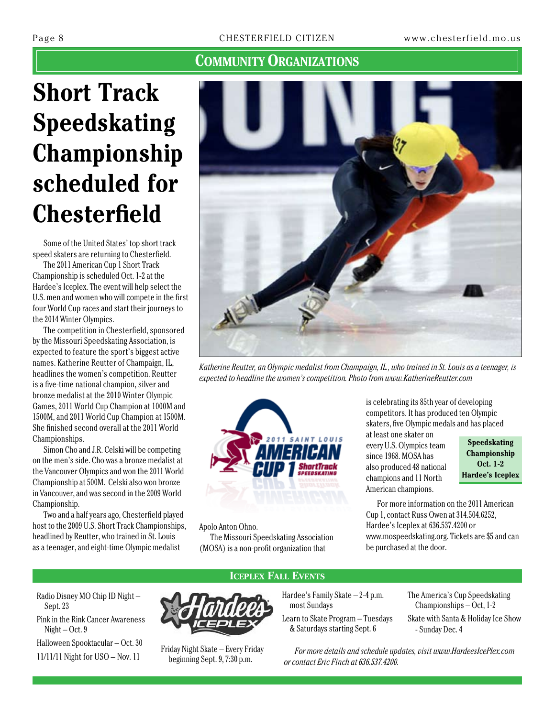# **Short Track Speedskating Championship scheduled for Chesterfield**

Some of the United States' top short track speed skaters are returning to Chesterfield.

The 2011 American Cup 1 Short Track Championship is scheduled Oct. 1-2 at the Hardee's Iceplex. The event will help select the U.S. men and women who will compete in the first four World Cup races and start their journeys to the 2014 Winter Olympics.

The competition in Chesterfield, sponsored by the Missouri Speedskating Association, is expected to feature the sport's biggest active names. Katherine Reutter of Champaign, IL, headlines the women's competition. Reutter is a five-time national champion, silver and bronze medalist at the 2010 Winter Olympic Games, 2011 World Cup Champion at 1000M and 1500M, and 2011 World Cup Champion at 1500M. She finished second overall at the 2011 World Championships.

Simon Cho and J.R. Celski will be competing on the men's side. Cho was a bronze medalist at the Vancouver Olympics and won the 2011 World Championship at 500M. Celski also won bronze in Vancouver, and was second in the 2009 World Championship.

Two and a half years ago, Chesterfield played host to the 2009 U.S. Short Track Championships, headlined by Reutter, who trained in St. Louis as a teenager, and eight-time Olympic medalist



*Katherine Reutter, an Olympic medalist from Champaign, IL., who trained in St. Louis as a teenager, is expected to headline the women's competition. Photo from www.KatherineReutter.com*



Apolo Anton Ohno.

The Missouri Speedskating Association (MOSA) is a non-profit organization that

is celebrating its 85th year of developing competitors. It has produced ten Olympic skaters, five Olympic medals and has placed

at least one skater on every U.S. Olympics team since 1968. MOSA has also produced 48 national champions and 11 North American champions.

**Speedskating Championship Oct. 1-2 Hardee's Iceplex**

For more information on the 2011 American Cup 1, contact Russ Owen at 314.504.6252, Hardee's Iceplex at 636.537.4200 or www.mospeedskating.org. Tickets are \$5 and can be purchased at the door.

Radio Disney MO Chip ID Night – Sept. 23 Pink in the Rink Cancer Awareness Night – Oct. 9 Halloween Spooktacular – Oct. 30





11/11/11 Night for USO – Nov. 11<br>11/11/11 Night for USO – Nov. 11 Friday Night Skate – Every Friday beginning Sept. 9, 7:30 p.m.

Hardee's Family Skate – 2-4 p.m. most Sundays

Learn to Skate Program – Tuesdays & Saturdays starting Sept. 6

The America's Cup Speedskating Championships – Oct, 1-2 Skate with Santa & Holiday Ice Show - Sunday Dec. 4

*For more details and schedule updates, visit www.HardeesIcePlex.com or contact Eric Finch at 636.537.4200.*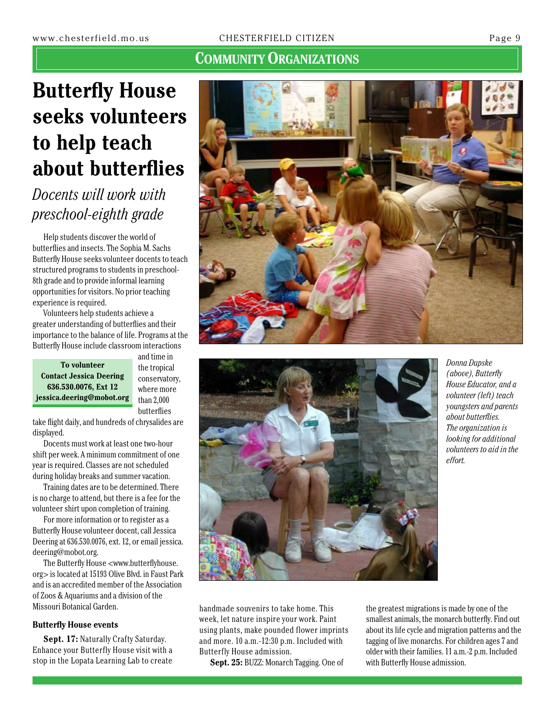# **Butterfly House seeks volunteers to help teach about butterflies**

# *Docents will work with preschool-eighth grade*

Help students discover the world of butterflies and insects. The Sophia M. Sachs Butterfly House seeks volunteer docents to teach structured programs to students in preschool-8th grade and to provide informal learning opportunities for visitors. No prior teaching experience is required.

Volunteers help students achieve a greater understanding of butterflies and their importance to the balance of life. Programs at the Butterfly House include classroom interactions

**To volunteer Contact Jessica Deering 636.530.0076, Ext 12 jessica.deering@mobot.org**

and time in the tropical conservatory, where more than 2,000 butterflies

take flight daily, and hundreds of chrysalides are displayed.

Docents must work at least one two-hour shift per week. A minimum commitment of one year is required. Classes are not scheduled during holiday breaks and summer vacation.

Training dates are to be determined. There is no charge to attend, but there is a fee for the volunteer shirt upon completion of training.

For more information or to register as a Butterfly House volunteer docent, call Jessica Deering at 636.530.0076, ext. 12, or email jessica. deering@mobot.org.

The Butterfly House <www.butterflyhouse. org> is located at 15193 Olive Blvd. in Faust Park and is an accredited member of the Association of Zoos & Aquariums and a division of the Missouri Botanical Garden.

#### **Butterfly House events**

**Sept. 17:** Naturally Crafty Saturday. Enhance your Butterfly House visit with a stop in the Lopata Learning Lab to create





*Donna Dupske (above), Butterfly House Educator, and a volunteer (left) teach youngsters and parents about butterflies. The organization is looking for additional volunteers to aid in the effort.*

handmade souvenirs to take home. This week, let nature inspire your work. Paint using plants, make pounded flower imprints and more. 10 a.m.-12:30 p.m. Included with Butterfly House admission.

**Sept. 25:** BUZZ: Monarch Tagging. One of

the greatest migrations is made by one of the smallest animals, the monarch butterfly. Find out about its life cycle and migration patterns and the tagging of live monarchs. For children ages 7 and older with their families. 11 a.m.-2 p.m. Included with Butterfly House admission.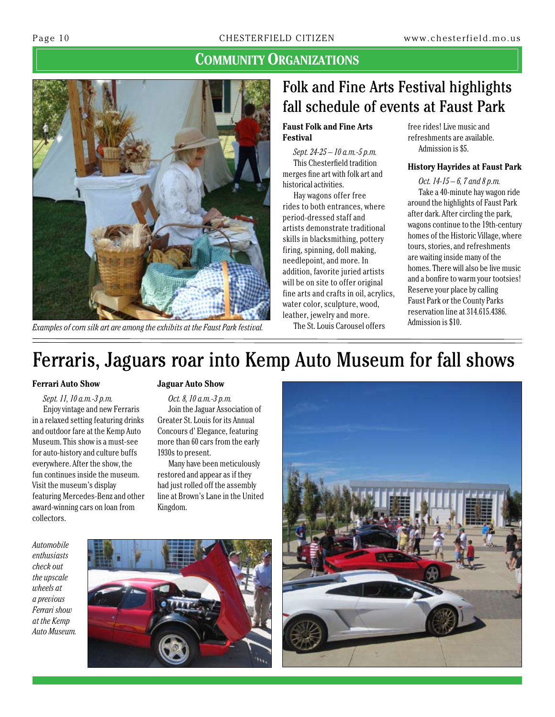

*Examples of corn silk art are among the exhibits at the Faust Park festival.*

# Folk and Fine Arts Festival highlights fall schedule of events at Faust Park

#### **Faust Folk and Fine Arts Festival**

*Sept. 24-25 – 10 a.m.-5 p.m.* This Chesterfield tradition merges fine art with folk art and historical activities.

Hay wagons offer free rides to both entrances, where period-dressed staff and artists demonstrate traditional skills in blacksmithing, pottery firing, spinning, doll making, needlepoint, and more. In addition, favorite juried artists will be on site to offer original fine arts and crafts in oil, acrylics, water color, sculpture, wood, leather, jewelry and more.

free rides! Live music and refreshments are available. Admission is \$5.

#### **History Hayrides at Faust Park**

*Oct. 14-15 – 6, 7 and 8 p.m.* Take a 40-minute hay wagon ride around the highlights of Faust Park after dark. After circling the park, wagons continue to the 19th-century homes of the Historic Village, where tours, stories, and refreshments are waiting inside many of the homes. There will also be live music and a bonfire to warm your tootsies! Reserve your place by calling Faust Park or the County Parks reservation line at 314.615.4386. Admission is \$10.

The St. Louis Carousel offers

# Ferraris, Jaguars roar into Kemp Auto Museum for fall shows

#### **Ferrari Auto Show**

*Sept. 11, 10 a.m.-3 p.m.* Enjoy vintage and new Ferraris in a relaxed setting featuring drinks and outdoor fare at the Kemp Auto Museum. This show is a must-see for auto-history and culture buffs everywhere. After the show, the fun continues inside the museum. Visit the museum's display featuring Mercedes-Benz and other award-winning cars on loan from collectors.

#### **Jaguar Auto Show**

*Oct. 8, 10 a.m.-3 p.m.* Join the Jaguar Association of Greater St. Louis for its Annual Concours d' Elegance, featuring more than 60 cars from the early 1930s to present.

Many have been meticulously restored and appear as if they had just rolled off the assembly line at Brown's Lane in the United Kingdom.

*Automobile enthusiasts check out the upscale wheels at a previous Ferrari show at the Kemp Auto Museum.*



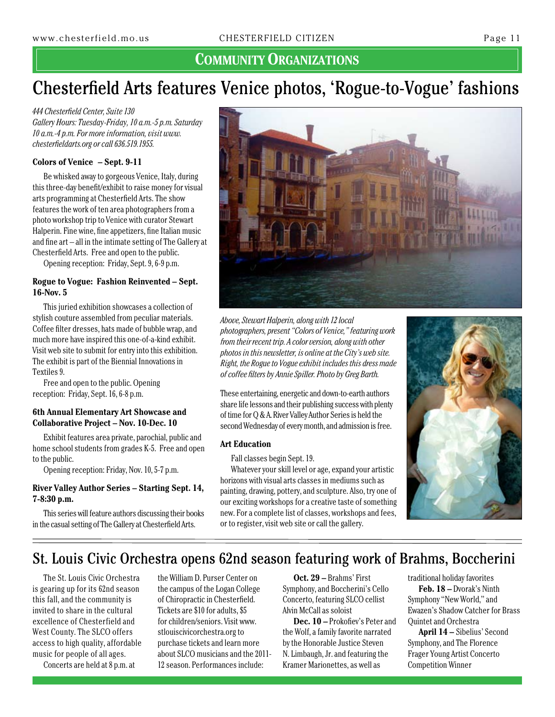# Chesterfield Arts features Venice photos, 'Rogue-to-Vogue' fashions

*444 Chesterfield Center, Suite 130 Gallery Hours: Tuesday-Friday, 10 a.m.-5 p.m. Saturday 10 a.m.-4 p.m. For more information, visit www. chesterfieldarts.org or call 636.519.1955.*

#### **Colors of Venice – Sept. 9-11**

Be whisked away to gorgeous Venice, Italy, during this three-day benefit/exhibit to raise money for visual arts programming at Chesterfield Arts. The show features the work of ten area photographers from a photo workshop trip to Venice with curator Stewart Halperin. Fine wine, fine appetizers, fine Italian music and fine art – all in the intimate setting of The Gallery at Chesterfield Arts. Free and open to the public.

Opening reception: Friday, Sept. 9, 6-9 p.m.

#### **Rogue to Vogue: Fashion Reinvented – Sept. 16-Nov. 5**

This juried exhibition showcases a collection of stylish couture assembled from peculiar materials. Coffee filter dresses, hats made of bubble wrap, and much more have inspired this one-of-a-kind exhibit. Visit web site to submit for entry into this exhibition. The exhibit is part of the Biennial Innovations in Textiles 9.

Free and open to the public. Opening reception: Friday, Sept. 16, 6-8 p.m.

#### **6th Annual Elementary Art Showcase and Collaborative Project – Nov. 10-Dec. 10**

Exhibit features area private, parochial, public and home school students from grades K-5. Free and open to the public.

Opening reception: Friday, Nov. 10, 5-7 p.m.

#### **River Valley Author Series – Starting Sept. 14, 7-8:30 p.m.**

This series will feature authors discussing their books in the casual setting of The Gallery at Chesterfield Arts.



*Above, Stewart Halperin, along with 12 local photographers, present "Colors of Venice," featuring work from their recent trip. A color version, along with other photos in this newsletter, is online at the City's web site. Right, the Rogue to Vogue exhibit includes this dress made of coffee filters by Annie Spiller. Photo by Greg Barth.*

These entertaining, energetic and down-to-earth authors share life lessons and their publishing success with plenty of time for Q & A. River Valley Author Series is held the second Wednesday of every month, and admission is free.

#### **Art Education**

Fall classes begin Sept. 19.

Whatever your skill level or age, expand your artistic horizons with visual arts classes in mediums such as painting, drawing, pottery, and sculpture. Also, try one of our exciting workshops for a creative taste of something new. For a complete list of classes, workshops and fees, or to register, visit web site or call the gallery.



## St. Louis Civic Orchestra opens 62nd season featuring work of Brahms, Boccherini

The St. Louis Civic Orchestra is gearing up for its 62nd season this fall, and the community is invited to share in the cultural excellence of Chesterfield and West County. The SLCO offers access to high quality, affordable music for people of all ages.

Concerts are held at 8 p.m. at

the William D. Purser Center on the campus of the Logan College of Chiropractic in Chesterfield. Tickets are \$10 for adults, \$5 for children/seniors. Visit www. stlouiscivicorchestra.org to purchase tickets and learn more about SLCO musicians and the 2011- 12 season. Performances include:

**Oct. 29 –** Brahms' First Symphony, and Boccherini's Cello Concerto, featuring SLCO cellist Alvin McCall as soloist

**Dec. 10 –** Prokofiev's Peter and the Wolf, a family favorite narrated by the Honorable Justice Steven N. Limbaugh, Jr. and featuring the Kramer Marionettes, as well as

traditional holiday favorites **Feb. 18 –** Dvorak's Ninth Symphony "New World," and Ewazen's Shadow Catcher for Brass Quintet and Orchestra

**April 14 –** Sibelius' Second Symphony, and The Florence Frager Young Artist Concerto Competition Winner